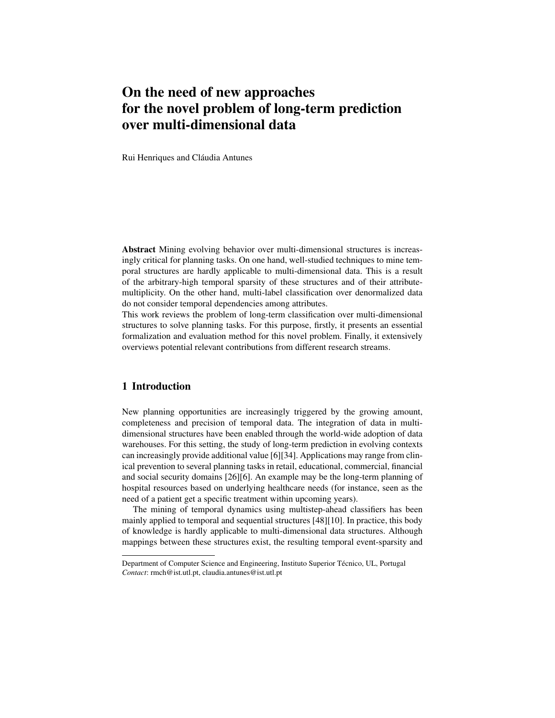# On the need of new approaches for the novel problem of long-term prediction over multi-dimensional data

Rui Henriques and Cláudia Antunes

Abstract Mining evolving behavior over multi-dimensional structures is increasingly critical for planning tasks. On one hand, well-studied techniques to mine temporal structures are hardly applicable to multi-dimensional data. This is a result of the arbitrary-high temporal sparsity of these structures and of their attributemultiplicity. On the other hand, multi-label classification over denormalized data do not consider temporal dependencies among attributes.

This work reviews the problem of long-term classification over multi-dimensional structures to solve planning tasks. For this purpose, firstly, it presents an essential formalization and evaluation method for this novel problem. Finally, it extensively overviews potential relevant contributions from different research streams.

# 1 Introduction

New planning opportunities are increasingly triggered by the growing amount, completeness and precision of temporal data. The integration of data in multidimensional structures have been enabled through the world-wide adoption of data warehouses. For this setting, the study of long-term prediction in evolving contexts can increasingly provide additional value [6][34]. Applications may range from clinical prevention to several planning tasks in retail, educational, commercial, financial and social security domains [26][6]. An example may be the long-term planning of hospital resources based on underlying healthcare needs (for instance, seen as the need of a patient get a specific treatment within upcoming years).

The mining of temporal dynamics using multistep-ahead classifiers has been mainly applied to temporal and sequential structures [48][10]. In practice, this body of knowledge is hardly applicable to multi-dimensional data structures. Although mappings between these structures exist, the resulting temporal event-sparsity and

Department of Computer Science and Engineering, Instituto Superior Técnico, UL, Portugal *Contact*: rmch@ist.utl.pt, claudia.antunes@ist.utl.pt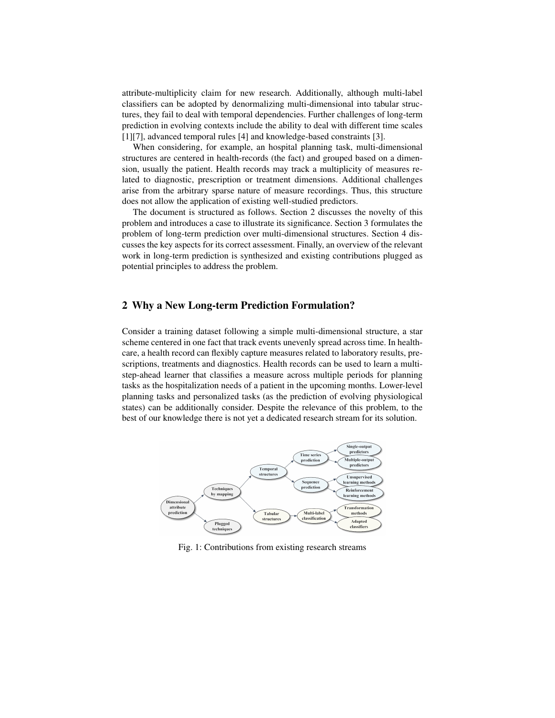attribute-multiplicity claim for new research. Additionally, although multi-label classifiers can be adopted by denormalizing multi-dimensional into tabular structures, they fail to deal with temporal dependencies. Further challenges of long-term prediction in evolving contexts include the ability to deal with different time scales [1][7], advanced temporal rules [4] and knowledge-based constraints [3].

When considering, for example, an hospital planning task, multi-dimensional structures are centered in health-records (the fact) and grouped based on a dimension, usually the patient. Health records may track a multiplicity of measures related to diagnostic, prescription or treatment dimensions. Additional challenges arise from the arbitrary sparse nature of measure recordings. Thus, this structure does not allow the application of existing well-studied predictors.

The document is structured as follows. Section 2 discusses the novelty of this problem and introduces a case to illustrate its significance. Section 3 formulates the problem of long-term prediction over multi-dimensional structures. Section 4 discusses the key aspects for its correct assessment. Finally, an overview of the relevant work in long-term prediction is synthesized and existing contributions plugged as potential principles to address the problem.

### 2 Why a New Long-term Prediction Formulation?

Consider a training dataset following a simple multi-dimensional structure, a star scheme centered in one fact that track events unevenly spread across time. In healthcare, a health record can flexibly capture measures related to laboratory results, prescriptions, treatments and diagnostics. Health records can be used to learn a multistep-ahead learner that classifies a measure across multiple periods for planning tasks as the hospitalization needs of a patient in the upcoming months. Lower-level planning tasks and personalized tasks (as the prediction of evolving physiological states) can be additionally consider. Despite the relevance of this problem, to the best of our knowledge there is not yet a dedicated research stream for its solution.



Fig. 1: Contributions from existing research streams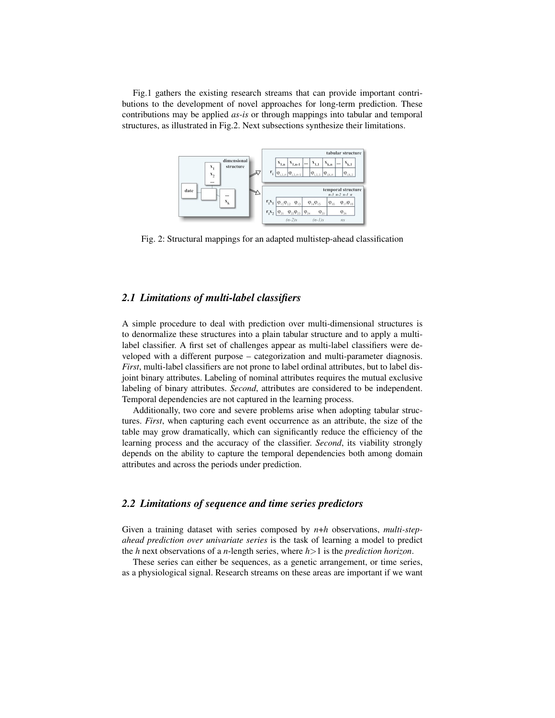Fig.1 gathers the existing research streams that can provide important contributions to the development of novel approaches for long-term prediction. These contributions may be applied *as-is* or through mappings into tabular and temporal structures, as illustrated in Fig.2. Next subsections synthesize their limitations.



Fig. 2: Structural mappings for an adapted multistep-ahead classification

# *2.1 Limitations of multi-label classifiers*

A simple procedure to deal with prediction over multi-dimensional structures is to denormalize these structures into a plain tabular structure and to apply a multilabel classifier. A first set of challenges appear as multi-label classifiers were developed with a different purpose – categorization and multi-parameter diagnosis. *First*, multi-label classifiers are not prone to label ordinal attributes, but to label disjoint binary attributes. Labeling of nominal attributes requires the mutual exclusive labeling of binary attributes. *Second*, attributes are considered to be independent. Temporal dependencies are not captured in the learning process.

Additionally, two core and severe problems arise when adopting tabular structures. *First*, when capturing each event occurrence as an attribute, the size of the table may grow dramatically, which can significantly reduce the efficiency of the learning process and the accuracy of the classifier. *Second*, its viability strongly depends on the ability to capture the temporal dependencies both among domain attributes and across the periods under prediction.

# *2.2 Limitations of sequence and time series predictors*

Given a training dataset with series composed by *n*+*h* observations, *multi-stepahead prediction over univariate series* is the task of learning a model to predict the *h* next observations of a *n*-length series, where *h*>1 is the *prediction horizon*.

These series can either be sequences, as a genetic arrangement, or time series, as a physiological signal. Research streams on these areas are important if we want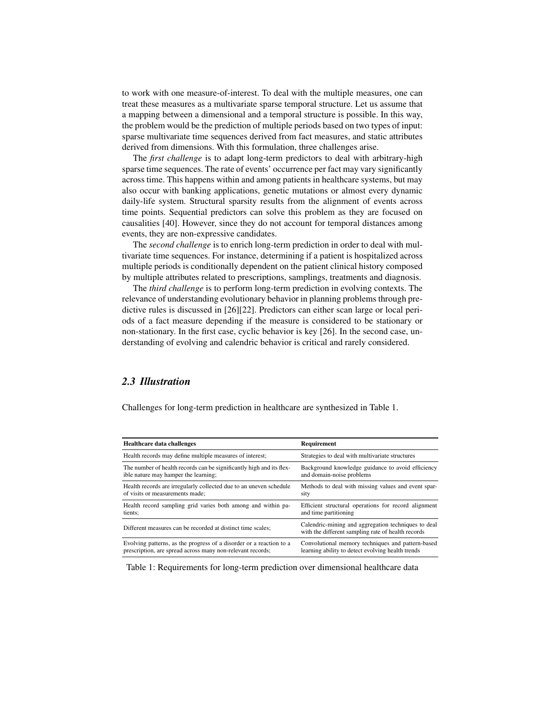to work with one measure-of-interest. To deal with the multiple measures, one can treat these measures as a multivariate sparse temporal structure. Let us assume that a mapping between a dimensional and a temporal structure is possible. In this way, the problem would be the prediction of multiple periods based on two types of input: sparse multivariate time sequences derived from fact measures, and static attributes derived from dimensions. With this formulation, three challenges arise.

The *first challenge* is to adapt long-term predictors to deal with arbitrary-high sparse time sequences. The rate of events' occurrence per fact may vary significantly across time. This happens within and among patients in healthcare systems, but may also occur with banking applications, genetic mutations or almost every dynamic daily-life system. Structural sparsity results from the alignment of events across time points. Sequential predictors can solve this problem as they are focused on causalities [40]. However, since they do not account for temporal distances among events, they are non-expressive candidates.

The *second challenge* is to enrich long-term prediction in order to deal with multivariate time sequences. For instance, determining if a patient is hospitalized across multiple periods is conditionally dependent on the patient clinical history composed by multiple attributes related to prescriptions, samplings, treatments and diagnosis.

The *third challenge* is to perform long-term prediction in evolving contexts. The relevance of understanding evolutionary behavior in planning problems through predictive rules is discussed in [26][22]. Predictors can either scan large or local periods of a fact measure depending if the measure is considered to be stationary or non-stationary. In the first case, cyclic behavior is key [26]. In the second case, understanding of evolving and calendric behavior is critical and rarely considered.

### *2.3 Illustration*

Challenges for long-term prediction in healthcare are synthesized in Table 1.

| <b>Healthcare data challenges</b>                                    | Requirement                                                                                               |  |
|----------------------------------------------------------------------|-----------------------------------------------------------------------------------------------------------|--|
| Health records may define multiple measures of interest;             | Strategies to deal with multivariate structures                                                           |  |
| The number of health records can be significantly high and its flex- | Background knowledge guidance to avoid efficiency                                                         |  |
| ible nature may hamper the learning:                                 | and domain-noise problems                                                                                 |  |
| Health records are irregularly collected due to an uneven schedule   | Methods to deal with missing values and event spar-                                                       |  |
| of visits or measurements made:                                      | sity                                                                                                      |  |
| Health record sampling grid varies both among and within pa-         | Efficient structural operations for record alignment                                                      |  |
| tients;                                                              | and time partitioning                                                                                     |  |
| Different measures can be recorded at distinct time scales;          | Calendric-mining and aggregation techniques to deal<br>with the different sampling rate of health records |  |
| Evolving patterns, as the progress of a disorder or a reaction to a  | Convolutional memory techniques and pattern-based                                                         |  |
| prescription, are spread across many non-relevant records;           | learning ability to detect evolving health trends                                                         |  |

Table 1: Requirements for long-term prediction over dimensional healthcare data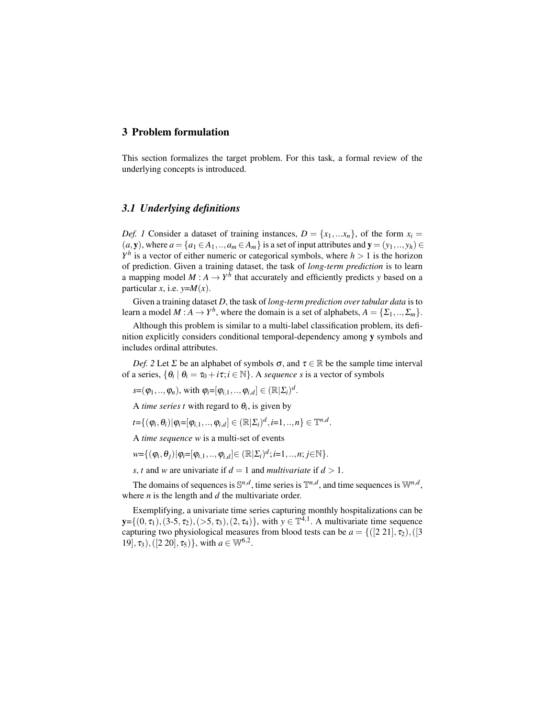## 3 Problem formulation

This section formalizes the target problem. For this task, a formal review of the underlying concepts is introduced.

# *3.1 Underlying definitions*

*Def. 1* Consider a dataset of training instances,  $D = \{x_1, \ldots, x_n\}$ , of the form  $x_i =$  $(a, y)$ , where  $a = \{a_1 \in A_1, \ldots, a_m \in A_m\}$  is a set of input attributes and  $y = (y_1, \ldots, y_h) \in A_m\}$  $Y^h$  is a vector of either numeric or categorical symbols, where  $h > 1$  is the horizon of prediction. Given a training dataset, the task of *long-term prediction* is to learn a mapping model  $M : A \to Y^h$  that accurately and efficiently predicts *y* based on a particular *x*, i.e.  $y=M(x)$ .

Given a training dataset *D*, the task of *long-term prediction over tabular data* is to learn a model  $M : A \to Y^h$ , where the domain is a set of alphabets,  $A = \{\Sigma_1, ..., \Sigma_m\}$ .

Although this problem is similar to a multi-label classification problem, its definition explicitly considers conditional temporal-dependency among y symbols and includes ordinal attributes.

*Def.* 2 Let  $\Sigma$  be an alphabet of symbols  $\sigma$ , and  $\tau \in \mathbb{R}$  be the sample time interval of a series,  $\{\theta_i \mid \theta_i = \tau_0 + i\tau; i \in \mathbb{N}\}$ . A *sequence s* is a vector of symbols

 $s=(\varphi_1, ..., \varphi_n)$ , with  $\varphi_i=[\varphi_{i,1}, ..., \varphi_{i,d}] \in (\mathbb{R}|\Sigma_i)^d$ .

A *time series t* with regard to  $\theta_i$ , is given by

 $t = \{(\varphi_i, \theta_i) | \varphi_i = [\varphi_{i,1}, ..., \varphi_{i,d}] \in (\mathbb{R}|\Sigma_i)^d, i = 1, ..., n\} \in \mathbb{T}^{n,d}.$ 

A *time sequence w* is a multi-set of events

$$
w=\{(\varphi_i,\theta_j)|\varphi_i=[\varphi_{i,1},...,\varphi_{i,d}]\in(\mathbb{R}|\Sigma_i)^d; i=1,..,n; j\in\mathbb{N}\}.
$$

*s*, *t* and *w* are univariate if  $d = 1$  and *multivariate* if  $d > 1$ .

The domains of sequences is  $\mathbb{S}^{n,d}$ , time series is  $\mathbb{T}^{n,d}$ , and time sequences is  $\mathbb{W}^{n,d}$ , where *n* is the length and *d* the multivariate order.

Exemplifying, a univariate time series capturing monthly hospitalizations can be  $\mathbf{y} = \{(0, \tau_1), (3-5, \tau_2), (>5, \tau_3), (2, \tau_4)\},\$  with  $y \in \mathbb{T}^{4,1}$ . A multivariate time sequence capturing two physiological measures from blood tests can be  $a = \{([2\ 21], \tau_2), ([3\$ 19],  $\tau_3$ ), ([2 20],  $\tau_5$ )}, with  $a \in \mathbb{W}^{6,2}$ .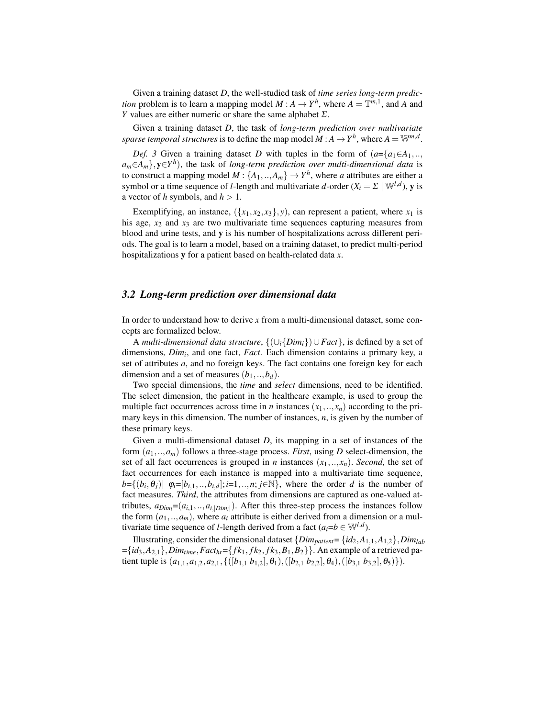Given a training dataset *D*, the well-studied task of *time series long-term prediction* problem is to learn a mapping model  $M : A \to Y^h$ , where  $A = \mathbb{T}^{m,1}$ , and A and *Y* values are either numeric or share the same alphabet  $\Sigma$ .

Given a training dataset *D*, the task of *long-term prediction over multivariate* sparse temporal structures is to define the map model  $\hat{M}: A \to Y^h$ , where  $A = \mathbb{W}^{m,d}$ .

*Def.* 3 Given a training dataset *D* with tuples in the form of  $(a=\{a_1 \in A_1, \ldots, a_n\})$ *am*∈*Am*},y∈*Y h* ), the task of *long-term prediction over multi-dimensional data* is to construct a mapping model  $M$  :  $\{A_1, ..., A_m\} \to Y^h$ , where *a* attributes are either a symbol or a time sequence of *l*-length and multivariate *d*-order ( $X_i = \Sigma \mid \mathbb{W}^{l,d}$ ), y is a vector of *h* symbols, and  $h > 1$ .

Exemplifying, an instance,  $({x_1, x_2, x_3}, y)$ , can represent a patient, where  $x_1$  is his age,  $x_2$  and  $x_3$  are two multivariate time sequences capturing measures from blood and urine tests, and y is his number of hospitalizations across different periods. The goal is to learn a model, based on a training dataset, to predict multi-period hospitalizations y for a patient based on health-related data *x*.

### *3.2 Long-term prediction over dimensional data*

In order to understand how to derive *x* from a multi-dimensional dataset, some concepts are formalized below.

A *multi-dimensional data structure*, {(∪*i*{*Dimi*})∪*Fact*}, is defined by a set of dimensions, *Dim<sup>i</sup>* , and one fact, *Fact*. Each dimension contains a primary key, a set of attributes *a*, and no foreign keys. The fact contains one foreign key for each dimension and a set of measures  $(b_1, \ldots, b_d)$ .

Two special dimensions, the *time* and *select* dimensions, need to be identified. The select dimension, the patient in the healthcare example, is used to group the multiple fact occurrences across time in *n* instances  $(x_1, \ldots, x_n)$  according to the primary keys in this dimension. The number of instances, *n*, is given by the number of these primary keys.

Given a multi-dimensional dataset *D*, its mapping in a set of instances of the form (*a*1,..,*am*) follows a three-stage process. *First*, using *D* select-dimension, the set of all fact occurrences is grouped in *n* instances  $(x_1, \ldots, x_n)$ . *Second*, the set of fact occurrences for each instance is mapped into a multivariate time sequence,  $b = \{(b_i, \theta_j) | \varphi_i = [b_{i,1},...,b_{i,d}]; i = 1,...,n; j \in \mathbb{N}\},$  where the order *d* is the number of fact measures. *Third*, the attributes from dimensions are captured as one-valued attributes,  $a_{Dim_i} = (a_{i,1},...,a_{i,|Dim_i|})$ . After this three-step process the instances follow the form  $(a_1, \ldots, a_m)$ , where  $a_i$  attribute is either derived from a dimension or a multivariate time sequence of *l*-length derived from a fact  $(a_i = b \in \mathbb{W}^{l,d})$ .

Illustrating, consider the dimensional dataset  $\{Dim_{pattern} = \{id_2, A_{1,1}, A_{1,2}\}, Dim_{lab}\}$ ={*id*3,*A*2,1},*Dimtime*,*Facthr*={ *f k*1, *f k*2, *f k*3,*B*1,*B*2}}. An example of a retrieved patient tuple is  $(a_{1,1}, a_{1,2}, a_{2,1}, \{([b_{1,1}, b_{1,2}], \theta_1), ([b_{2,1}, b_{2,2}], \theta_4), ([b_{3,1}, b_{3,2}], \theta_5)\}).$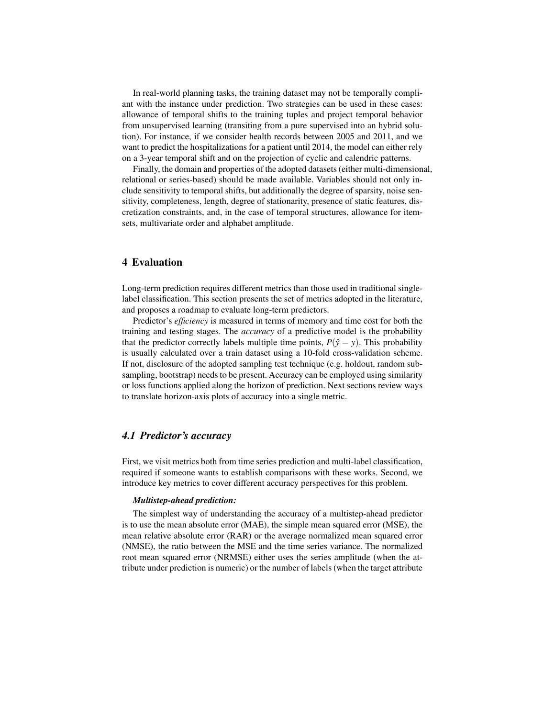In real-world planning tasks, the training dataset may not be temporally compliant with the instance under prediction. Two strategies can be used in these cases: allowance of temporal shifts to the training tuples and project temporal behavior from unsupervised learning (transiting from a pure supervised into an hybrid solution). For instance, if we consider health records between 2005 and 2011, and we want to predict the hospitalizations for a patient until 2014, the model can either rely on a 3-year temporal shift and on the projection of cyclic and calendric patterns.

Finally, the domain and properties of the adopted datasets (either multi-dimensional, relational or series-based) should be made available. Variables should not only include sensitivity to temporal shifts, but additionally the degree of sparsity, noise sensitivity, completeness, length, degree of stationarity, presence of static features, discretization constraints, and, in the case of temporal structures, allowance for itemsets, multivariate order and alphabet amplitude.

### 4 Evaluation

Long-term prediction requires different metrics than those used in traditional singlelabel classification. This section presents the set of metrics adopted in the literature, and proposes a roadmap to evaluate long-term predictors.

Predictor's *efficiency* is measured in terms of memory and time cost for both the training and testing stages. The *accuracy* of a predictive model is the probability that the predictor correctly labels multiple time points,  $P(\hat{y} = y)$ . This probability is usually calculated over a train dataset using a 10-fold cross-validation scheme. If not, disclosure of the adopted sampling test technique (e.g. holdout, random subsampling, bootstrap) needs to be present. Accuracy can be employed using similarity or loss functions applied along the horizon of prediction. Next sections review ways to translate horizon-axis plots of accuracy into a single metric.

# *4.1 Predictor's accuracy*

First, we visit metrics both from time series prediction and multi-label classification, required if someone wants to establish comparisons with these works. Second, we introduce key metrics to cover different accuracy perspectives for this problem.

#### *Multistep-ahead prediction:*

The simplest way of understanding the accuracy of a multistep-ahead predictor is to use the mean absolute error (MAE), the simple mean squared error (MSE), the mean relative absolute error (RAR) or the average normalized mean squared error (NMSE), the ratio between the MSE and the time series variance. The normalized root mean squared error (NRMSE) either uses the series amplitude (when the attribute under prediction is numeric) or the number of labels (when the target attribute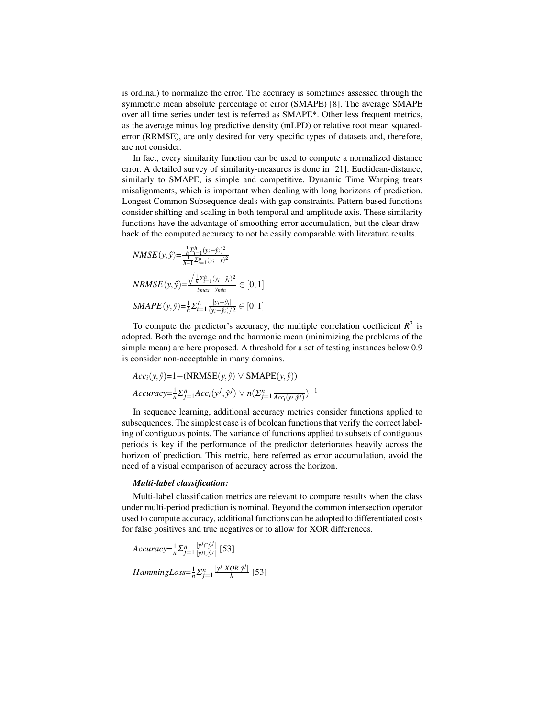is ordinal) to normalize the error. The accuracy is sometimes assessed through the symmetric mean absolute percentage of error (SMAPE) [8]. The average SMAPE over all time series under test is referred as SMAPE\*. Other less frequent metrics, as the average minus log predictive density (mLPD) or relative root mean squarederror (RRMSE), are only desired for very specific types of datasets and, therefore, are not consider.

In fact, every similarity function can be used to compute a normalized distance error. A detailed survey of similarity-measures is done in [21]. Euclidean-distance, similarly to SMAPE, is simple and competitive. Dynamic Time Warping treats misalignments, which is important when dealing with long horizons of prediction. Longest Common Subsequence deals with gap constraints. Pattern-based functions consider shifting and scaling in both temporal and amplitude axis. These similarity functions have the advantage of smoothing error accumulation, but the clear drawback of the computed accuracy to not be easily comparable with literature results.

$$
NMSE(y, \hat{y}) = \frac{\frac{1}{h} \sum_{i=1}^{h} (y_i - \hat{y}_i)^2}{\frac{1}{h-1} \sum_{i=1}^{h} (y_i - \hat{y})^2}
$$
  

$$
NRMSE(y, \hat{y}) = \frac{\sqrt{\frac{1}{h} \sum_{i=1}^{h} (y_i - \hat{y}_i)^2}}{y_{max} - y_{min}} \in [0, 1]
$$
  

$$
SMAPE(y, \hat{y}) = \frac{1}{h} \sum_{i=1}^{h} \frac{|y_i - \hat{y}_i|}{(y_i + \hat{y}_i)/2} \in [0, 1]
$$

To compute the predictor's accuracy, the multiple correlation coefficient  $R^2$  is adopted. Both the average and the harmonic mean (minimizing the problems of the simple mean) are here proposed. A threshold for a set of testing instances below 0.9 is consider non-acceptable in many domains.

$$
Acc_i(y, \hat{y}) = 1 - (NRMSE(y, \hat{y}) \lor SMAPE(y, \hat{y}))
$$
  
Accuracy= $\frac{1}{n} \sum_{j=1}^{n} Acc_i(y^j, \hat{y}^j) \lor n(\sum_{j=1}^{n} \frac{1}{Acc_i(y^j, \hat{y}^j)})^{-1}$ 

In sequence learning, additional accuracy metrics consider functions applied to subsequences. The simplest case is of boolean functions that verify the correct labeling of contiguous points. The variance of functions applied to subsets of contiguous periods is key if the performance of the predictor deteriorates heavily across the horizon of prediction. This metric, here referred as error accumulation, avoid the need of a visual comparison of accuracy across the horizon.

#### *Multi-label classification:*

Multi-label classification metrics are relevant to compare results when the class under multi-period prediction is nominal. Beyond the common intersection operator used to compute accuracy, additional functions can be adopted to differentiated costs for false positives and true negatives or to allow for XOR differences.

$$
Accuracy = \frac{1}{n} \sum_{j=1}^{n} \frac{|y^{j} \cap \hat{y}^{j}|}{|y^{j} \cup \hat{y}^{j}|} [53]
$$
  
*HammingLoss* =  $\frac{1}{n} \sum_{j=1}^{n} \frac{|y^{j} XOR \hat{y}^{j}|}{h} [53]$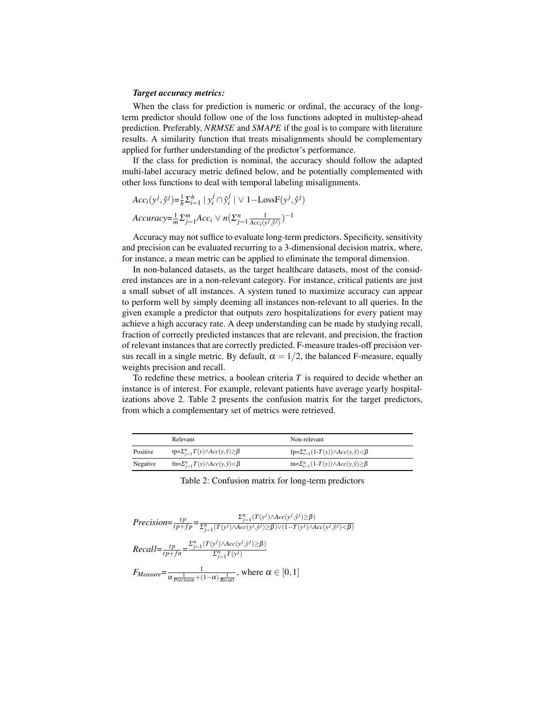#### *Target accuracy metrics:*

When the class for prediction is numeric or ordinal, the accuracy of the longterm predictor should follow one of the loss functions adopted in multistep-ahead prediction. Preferably, *NRMSE* and *SMAPE* if the goal is to compare with literature results. A similarity function that treats misalignments should be complementary applied for further understanding of the predictor's performance.

If the class for prediction is nominal, the accuracy should follow the adapted multi-label accuracy metric defined below, and be potentially complemented with other loss functions to deal with temporal labeling misalignments.

$$
Acc_i(y^j, \hat{y}^j) = \frac{1}{h} \sum_{i=1}^h |y_i^j \cap \hat{y}_i^j| \lor 1 - LossF(y^j, \hat{y}^j)
$$
  
Accuracy = 
$$
\frac{1}{m} \sum_{j=1}^m Acc_i \lor n(\sum_{j=1}^n \frac{1}{Acc_i(y^j, \hat{y}^j)})^{-1}
$$

Accuracy may not suffice to evaluate long-term predictors. Specificity, sensitivity and precision can be evaluated recurring to a 3-dimensional decision matrix, where, for instance, a mean metric can be applied to eliminate the temporal dimension.

In non-balanced datasets, as the target healthcare datasets, most of the considered instances are in a non-relevant category. For instance, critical patients are just a small subset of all instances. A system tuned to maximize accuracy can appear to perform well by simply deeming all instances non-relevant to all queries. In the given example a predictor that outputs zero hospitalizations for every patient may achieve a high accuracy rate. A deep understanding can be made by studying recall, fraction of correctly predicted instances that are relevant, and precision, the fraction of relevant instances that are correctly predicted. F-measure trades-off precision versus recall in a single metric. By default,  $\alpha = 1/2$ , the balanced F-measure, equally weights precision and recall.

To redefine these metrics, a boolean criteria *T* is required to decide whether an instance is of interest. For example, relevant patients have average yearly hospitalizations above 2. Table 2 presents the confusion matrix for the target predictors, from which a complementary set of metrics were retrieved.

|          | Relevant                                                     | Non-relevant                                                     |
|----------|--------------------------------------------------------------|------------------------------------------------------------------|
| Positive | $tp = \sum_{i=1}^{n} T(y) \wedge Acc(y, \hat{y}) \geq \beta$ | $fp = \sum_{i=1}^{n} (1-T(y)) \wedge Acc(y, \hat{y}) < \beta$    |
| Negative | fn= $\sum_{i=1}^n T(y) \wedge Acc(y, \hat{y}) < \beta$       | $tn = \sum_{i=1}^{n} (1-T(y)) \wedge Acc(y, \hat{y}) \geq \beta$ |

| Table 2: Confusion matrix for long-term predictors |  |
|----------------------------------------------------|--|
|----------------------------------------------------|--|

$$
Precision = \frac{tp}{tp + fp} = \frac{\sum_{j=1}^{n} (T(y^{j}) \land Acc(y^{j}, \hat{y}^{j}) \ge \beta)}{\sum_{j=1}^{n} (T(y^{j}) \land Acc(y^{j}, \hat{y}^{j}) \ge \beta) \lor (1 - T(y^{j}) \land Acc(y^{j}, \hat{y}^{j}) < \beta)}
$$
\n
$$
Recall = \frac{tp}{tp + fn} = \frac{\sum_{j=1}^{n} (T(y^{j}) \land Acc(y^{j}, \hat{y}^{j}) \ge \beta)}{\sum_{j=1}^{n} T(y^{j})}
$$
\n
$$
F_{Measure} = \frac{1}{\alpha \frac{1}{Precision} + (1 - \alpha) \frac{1}{Recall}}, \text{ where } \alpha \in [0, 1]
$$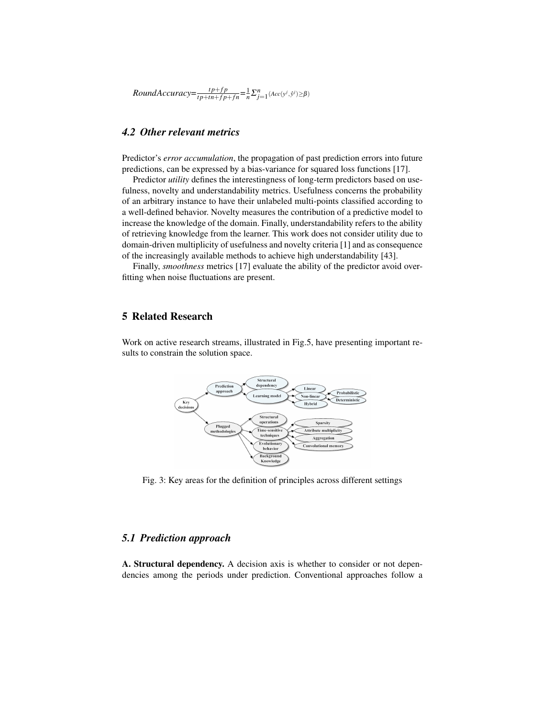$RoundAccuracy = \frac{tp+fp}{tp+tn+fp+fn} = \frac{1}{n} \sum_{j=1}^{n} (Acc(y^j, \hat{y}^j) \geq \beta)$ 

# *4.2 Other relevant metrics*

Predictor's *error accumulation*, the propagation of past prediction errors into future predictions, can be expressed by a bias-variance for squared loss functions [17].

Predictor *utility* defines the interestingness of long-term predictors based on usefulness, novelty and understandability metrics. Usefulness concerns the probability of an arbitrary instance to have their unlabeled multi-points classified according to a well-defined behavior. Novelty measures the contribution of a predictive model to increase the knowledge of the domain. Finally, understandability refers to the ability of retrieving knowledge from the learner. This work does not consider utility due to domain-driven multiplicity of usefulness and novelty criteria [1] and as consequence of the increasingly available methods to achieve high understandability [43].

Finally, *smoothness* metrics [17] evaluate the ability of the predictor avoid overfitting when noise fluctuations are present.

## 5 Related Research

Work on active research streams, illustrated in Fig.5, have presenting important results to constrain the solution space.



Fig. 3: Key areas for the definition of principles across different settings

# *5.1 Prediction approach*

A. Structural dependency. A decision axis is whether to consider or not dependencies among the periods under prediction. Conventional approaches follow a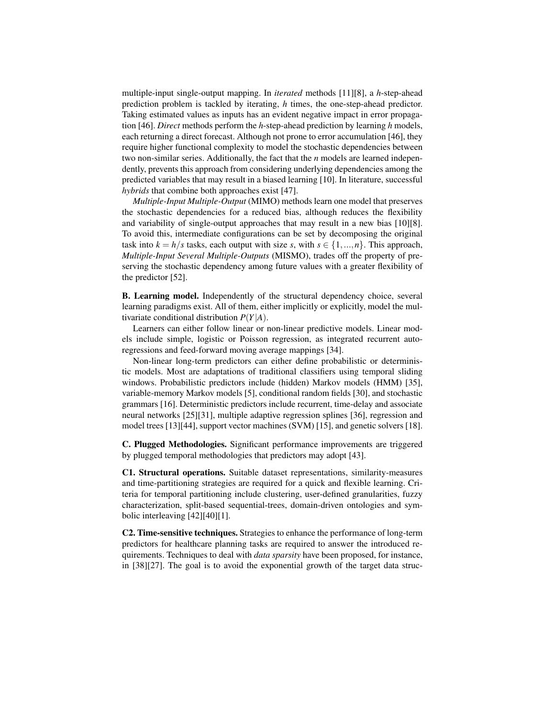multiple-input single-output mapping. In *iterated* methods [11][8], a *h*-step-ahead prediction problem is tackled by iterating, *h* times, the one-step-ahead predictor. Taking estimated values as inputs has an evident negative impact in error propagation [46]. *Direct* methods perform the *h*-step-ahead prediction by learning *h* models, each returning a direct forecast. Although not prone to error accumulation [46], they require higher functional complexity to model the stochastic dependencies between two non-similar series. Additionally, the fact that the *n* models are learned independently, prevents this approach from considering underlying dependencies among the predicted variables that may result in a biased learning [10]. In literature, successful *hybrids* that combine both approaches exist [47].

*Multiple-Input Multiple-Output* (MIMO) methods learn one model that preserves the stochastic dependencies for a reduced bias, although reduces the flexibility and variability of single-output approaches that may result in a new bias [10][8]. To avoid this, intermediate configurations can be set by decomposing the original task into  $k = h/s$  tasks, each output with size *s*, with  $s \in \{1, ..., n\}$ . This approach, *Multiple-Input Several Multiple-Outputs* (MISMO), trades off the property of preserving the stochastic dependency among future values with a greater flexibility of the predictor [52].

B. Learning model. Independently of the structural dependency choice, several learning paradigms exist. All of them, either implicitly or explicitly, model the multivariate conditional distribution *P*(*Y*|*A*).

Learners can either follow linear or non-linear predictive models. Linear models include simple, logistic or Poisson regression, as integrated recurrent autoregressions and feed-forward moving average mappings [34].

Non-linear long-term predictors can either define probabilistic or deterministic models. Most are adaptations of traditional classifiers using temporal sliding windows. Probabilistic predictors include (hidden) Markov models (HMM) [35], variable-memory Markov models [5], conditional random fields [30], and stochastic grammars [16]. Deterministic predictors include recurrent, time-delay and associate neural networks [25][31], multiple adaptive regression splines [36], regression and model trees [13][44], support vector machines (SVM) [15], and genetic solvers [18].

C. Plugged Methodologies. Significant performance improvements are triggered by plugged temporal methodologies that predictors may adopt [43].

C1. Structural operations. Suitable dataset representations, similarity-measures and time-partitioning strategies are required for a quick and flexible learning. Criteria for temporal partitioning include clustering, user-defined granularities, fuzzy characterization, split-based sequential-trees, domain-driven ontologies and symbolic interleaving [42][40][1].

C2. Time-sensitive techniques. Strategies to enhance the performance of long-term predictors for healthcare planning tasks are required to answer the introduced requirements. Techniques to deal with *data sparsity* have been proposed, for instance, in [38][27]. The goal is to avoid the exponential growth of the target data struc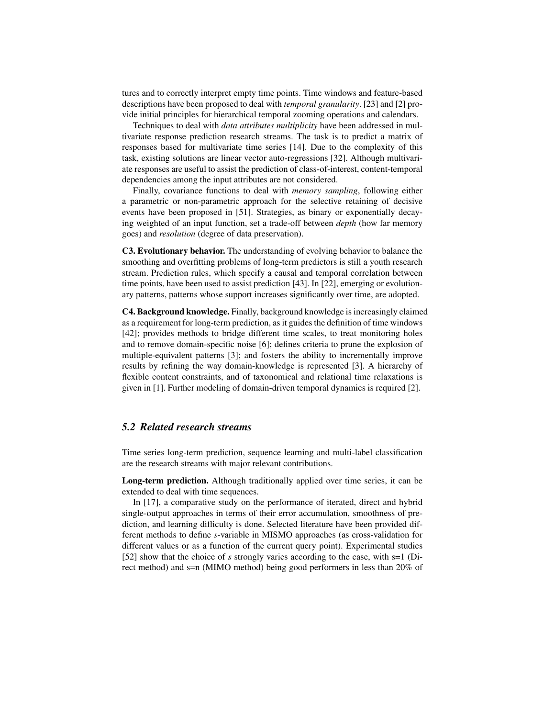tures and to correctly interpret empty time points. Time windows and feature-based descriptions have been proposed to deal with *temporal granularity*. [23] and [2] provide initial principles for hierarchical temporal zooming operations and calendars.

Techniques to deal with *data attributes multiplicity* have been addressed in multivariate response prediction research streams. The task is to predict a matrix of responses based for multivariate time series [14]. Due to the complexity of this task, existing solutions are linear vector auto-regressions [32]. Although multivariate responses are useful to assist the prediction of class-of-interest, content-temporal dependencies among the input attributes are not considered.

Finally, covariance functions to deal with *memory sampling*, following either a parametric or non-parametric approach for the selective retaining of decisive events have been proposed in [51]. Strategies, as binary or exponentially decaying weighted of an input function, set a trade-off between *depth* (how far memory goes) and *resolution* (degree of data preservation).

C3. Evolutionary behavior. The understanding of evolving behavior to balance the smoothing and overfitting problems of long-term predictors is still a youth research stream. Prediction rules, which specify a causal and temporal correlation between time points, have been used to assist prediction [43]. In [22], emerging or evolutionary patterns, patterns whose support increases significantly over time, are adopted.

C4. Background knowledge. Finally, background knowledge is increasingly claimed as a requirement for long-term prediction, as it guides the definition of time windows [42]; provides methods to bridge different time scales, to treat monitoring holes and to remove domain-specific noise [6]; defines criteria to prune the explosion of multiple-equivalent patterns [3]; and fosters the ability to incrementally improve results by refining the way domain-knowledge is represented [3]. A hierarchy of flexible content constraints, and of taxonomical and relational time relaxations is given in [1]. Further modeling of domain-driven temporal dynamics is required [2].

# *5.2 Related research streams*

Time series long-term prediction, sequence learning and multi-label classification are the research streams with major relevant contributions.

Long-term prediction. Although traditionally applied over time series, it can be extended to deal with time sequences.

In [17], a comparative study on the performance of iterated, direct and hybrid single-output approaches in terms of their error accumulation, smoothness of prediction, and learning difficulty is done. Selected literature have been provided different methods to define *s*-variable in MISMO approaches (as cross-validation for different values or as a function of the current query point). Experimental studies [52] show that the choice of *s* strongly varies according to the case, with s=1 (Direct method) and s=n (MIMO method) being good performers in less than 20% of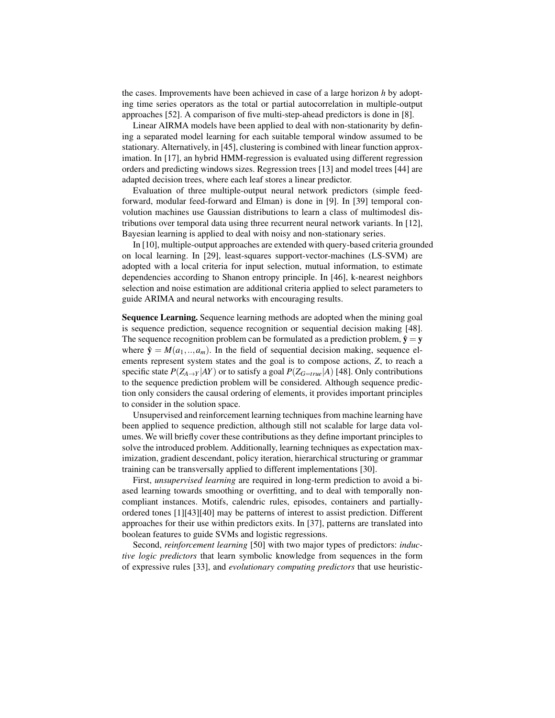the cases. Improvements have been achieved in case of a large horizon *h* by adopting time series operators as the total or partial autocorrelation in multiple-output approaches [52]. A comparison of five multi-step-ahead predictors is done in [8].

Linear AIRMA models have been applied to deal with non-stationarity by defining a separated model learning for each suitable temporal window assumed to be stationary. Alternatively, in [45], clustering is combined with linear function approximation. In [17], an hybrid HMM-regression is evaluated using different regression orders and predicting windows sizes. Regression trees [13] and model trees [44] are adapted decision trees, where each leaf stores a linear predictor.

Evaluation of three multiple-output neural network predictors (simple feedforward, modular feed-forward and Elman) is done in [9]. In [39] temporal convolution machines use Gaussian distributions to learn a class of multimodesl distributions over temporal data using three recurrent neural network variants. In [12], Bayesian learning is applied to deal with noisy and non-stationary series.

In [10], multiple-output approaches are extended with query-based criteria grounded on local learning. In [29], least-squares support-vector-machines (LS-SVM) are adopted with a local criteria for input selection, mutual information, to estimate dependencies according to Shanon entropy principle. In [46], k-nearest neighbors selection and noise estimation are additional criteria applied to select parameters to guide ARIMA and neural networks with encouraging results.

Sequence Learning. Sequence learning methods are adopted when the mining goal is sequence prediction, sequence recognition or sequential decision making [48]. The sequence recognition problem can be formulated as a prediction problem,  $\hat{y} = y$ where  $\hat{\mathbf{y}} = M(a_1, \dots, a_m)$ . In the field of sequential decision making, sequence elements represent system states and the goal is to compose actions, *Z*, to reach a specific state  $P(Z_{A\rightarrow Y}|AY)$  or to satisfy a goal  $P(Z_{G=true}|A)$  [48]. Only contributions to the sequence prediction problem will be considered. Although sequence prediction only considers the causal ordering of elements, it provides important principles to consider in the solution space.

Unsupervised and reinforcement learning techniques from machine learning have been applied to sequence prediction, although still not scalable for large data volumes. We will briefly cover these contributions as they define important principles to solve the introduced problem. Additionally, learning techniques as expectation maximization, gradient descendant, policy iteration, hierarchical structuring or grammar training can be transversally applied to different implementations [30].

First, *unsupervised learning* are required in long-term prediction to avoid a biased learning towards smoothing or overfitting, and to deal with temporally noncompliant instances. Motifs, calendric rules, episodes, containers and partiallyordered tones [1][43][40] may be patterns of interest to assist prediction. Different approaches for their use within predictors exits. In [37], patterns are translated into boolean features to guide SVMs and logistic regressions.

Second, *reinforcement learning* [50] with two major types of predictors: *inductive logic predictors* that learn symbolic knowledge from sequences in the form of expressive rules [33], and *evolutionary computing predictors* that use heuristic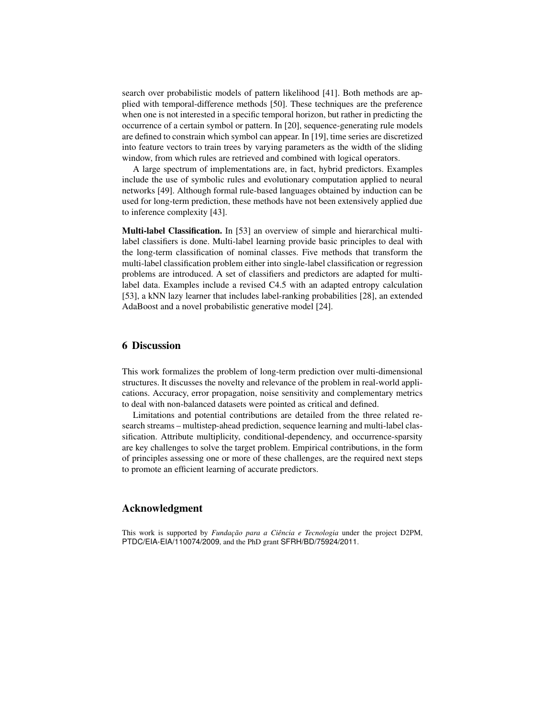search over probabilistic models of pattern likelihood [41]. Both methods are applied with temporal-difference methods [50]. These techniques are the preference when one is not interested in a specific temporal horizon, but rather in predicting the occurrence of a certain symbol or pattern. In [20], sequence-generating rule models are defined to constrain which symbol can appear. In [19], time series are discretized into feature vectors to train trees by varying parameters as the width of the sliding window, from which rules are retrieved and combined with logical operators.

A large spectrum of implementations are, in fact, hybrid predictors. Examples include the use of symbolic rules and evolutionary computation applied to neural networks [49]. Although formal rule-based languages obtained by induction can be used for long-term prediction, these methods have not been extensively applied due to inference complexity [43].

Multi-label Classification. In [53] an overview of simple and hierarchical multilabel classifiers is done. Multi-label learning provide basic principles to deal with the long-term classification of nominal classes. Five methods that transform the multi-label classification problem either into single-label classification or regression problems are introduced. A set of classifiers and predictors are adapted for multilabel data. Examples include a revised C4.5 with an adapted entropy calculation [53], a kNN lazy learner that includes label-ranking probabilities [28], an extended AdaBoost and a novel probabilistic generative model [24].

# 6 Discussion

This work formalizes the problem of long-term prediction over multi-dimensional structures. It discusses the novelty and relevance of the problem in real-world applications. Accuracy, error propagation, noise sensitivity and complementary metrics to deal with non-balanced datasets were pointed as critical and defined.

Limitations and potential contributions are detailed from the three related research streams – multistep-ahead prediction, sequence learning and multi-label classification. Attribute multiplicity, conditional-dependency, and occurrence-sparsity are key challenges to solve the target problem. Empirical contributions, in the form of principles assessing one or more of these challenges, are the required next steps to promote an efficient learning of accurate predictors.

# Acknowledgment

This work is supported by *Fundação para a Ciência e Tecnologia* under the project D2PM, PTDC/EIA-EIA/110074/2009, and the PhD grant SFRH/BD/75924/2011.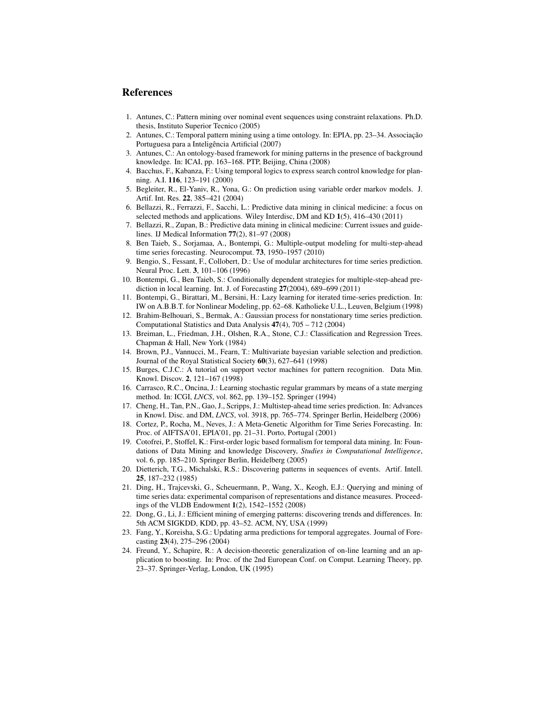### References

- 1. Antunes, C.: Pattern mining over nominal event sequences using constraint relaxations. Ph.D. thesis, Instituto Superior Tecnico (2005)
- 2. Antunes, C.: Temporal pattern mining using a time ontology. In: EPIA, pp. 23–34. Associação Portuguesa para a Inteligência Artificial (2007)
- 3. Antunes, C.: An ontology-based framework for mining patterns in the presence of background knowledge. In: ICAI, pp. 163–168. PTP, Beijing, China (2008)
- 4. Bacchus, F., Kabanza, F.: Using temporal logics to express search control knowledge for planning. A.I. 116, 123–191 (2000)
- 5. Begleiter, R., El-Yaniv, R., Yona, G.: On prediction using variable order markov models. J. Artif. Int. Res. 22, 385–421 (2004)
- 6. Bellazzi, R., Ferrazzi, F., Sacchi, L.: Predictive data mining in clinical medicine: a focus on selected methods and applications. Wiley Interdisc, DM and KD 1(5), 416–430 (2011)
- 7. Bellazzi, R., Zupan, B.: Predictive data mining in clinical medicine: Current issues and guidelines. IJ Medical Information 77(2), 81–97 (2008)
- 8. Ben Taieb, S., Sorjamaa, A., Bontempi, G.: Multiple-output modeling for multi-step-ahead time series forecasting. Neurocomput. 73, 1950–1957 (2010)
- 9. Bengio, S., Fessant, F., Collobert, D.: Use of modular architectures for time series prediction. Neural Proc. Lett. 3, 101–106 (1996)
- 10. Bontempi, G., Ben Taieb, S.: Conditionally dependent strategies for multiple-step-ahead prediction in local learning. Int. J. of Forecasting 27(2004), 689–699 (2011)
- 11. Bontempi, G., Birattari, M., Bersini, H.: Lazy learning for iterated time-series prediction. In: IW on A.B.B.T. for Nonlinear Modeling, pp. 62–68. Katholieke U.L., Leuven, Belgium (1998)
- 12. Brahim-Belhouari, S., Bermak, A.: Gaussian process for nonstationary time series prediction. Computational Statistics and Data Analysis 47(4), 705 – 712 (2004)
- 13. Breiman, L., Friedman, J.H., Olshen, R.A., Stone, C.J.: Classification and Regression Trees. Chapman & Hall, New York (1984)
- 14. Brown, P.J., Vannucci, M., Fearn, T.: Multivariate bayesian variable selection and prediction. Journal of the Royal Statistical Society 60(3), 627–641 (1998)
- 15. Burges, C.J.C.: A tutorial on support vector machines for pattern recognition. Data Min. Knowl. Discov. 2, 121–167 (1998)
- 16. Carrasco, R.C., Oncina, J.: Learning stochastic regular grammars by means of a state merging method. In: ICGI, *LNCS*, vol. 862, pp. 139–152. Springer (1994)
- 17. Cheng, H., Tan, P.N., Gao, J., Scripps, J.: Multistep-ahead time series prediction. In: Advances in Knowl. Disc. and DM, *LNCS*, vol. 3918, pp. 765–774. Springer Berlin, Heidelberg (2006)
- 18. Cortez, P., Rocha, M., Neves, J.: A Meta-Genetic Algorithm for Time Series Forecasting. In: Proc. of AIFTSA'01, EPIA'01, pp. 21–31. Porto, Portugal (2001)
- 19. Cotofrei, P., Stoffel, K.: First-order logic based formalism for temporal data mining. In: Foundations of Data Mining and knowledge Discovery, *Studies in Computational Intelligence*, vol. 6, pp. 185–210. Springer Berlin, Heidelberg (2005)
- 20. Dietterich, T.G., Michalski, R.S.: Discovering patterns in sequences of events. Artif. Intell. 25, 187–232 (1985)
- 21. Ding, H., Trajcevski, G., Scheuermann, P., Wang, X., Keogh, E.J.: Querying and mining of time series data: experimental comparison of representations and distance measures. Proceedings of the VLDB Endowment 1(2), 1542–1552 (2008)
- 22. Dong, G., Li, J.: Efficient mining of emerging patterns: discovering trends and differences. In: 5th ACM SIGKDD, KDD, pp. 43–52. ACM, NY, USA (1999)
- 23. Fang, Y., Koreisha, S.G.: Updating arma predictions for temporal aggregates. Journal of Forecasting 23(4), 275–296 (2004)
- 24. Freund, Y., Schapire, R.: A decision-theoretic generalization of on-line learning and an application to boosting. In: Proc. of the 2nd European Conf. on Comput. Learning Theory, pp. 23–37. Springer-Verlag, London, UK (1995)